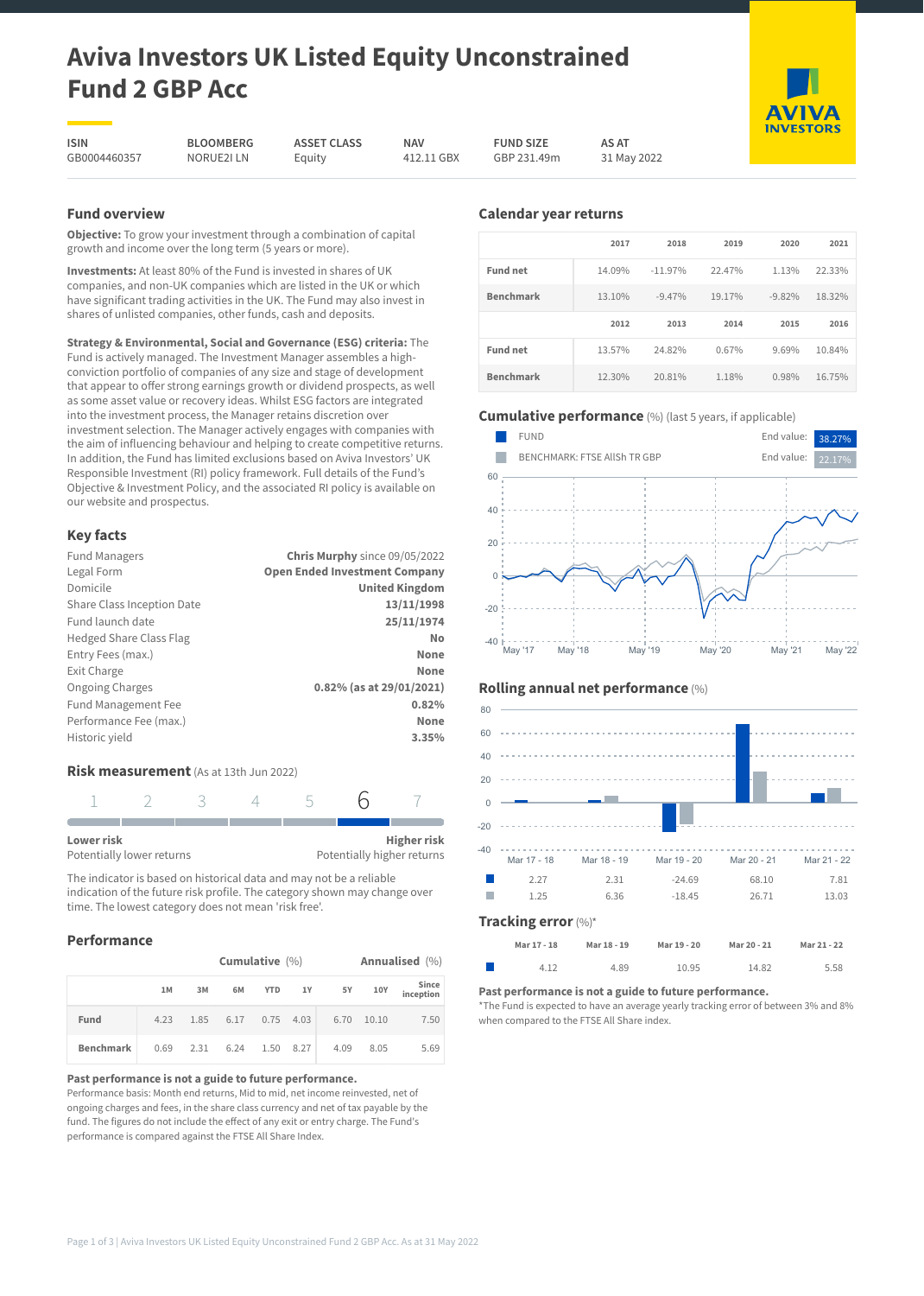# **Aviva Investors UK Listed Equity Unconstrained Fund 2 GBP Acc**

**ISIN** GB0004460357

**BLOOMBERG** NORUE2I LN

**ASSET CLASS** Equity

**NAV** 412.11 GBX **FUND SIZE** GBP 231.49m **AS AT** 31 May 2022

# **Fund overview**

**Objective:** To grow your investment through a combination of capital growth and income over the long term (5 years or more).

**Investments:** At least 80% of the Fund is invested in shares of UK companies, and non-UK companies which are listed in the UK or which have significant trading activities in the UK. The Fund may also invest in shares of unlisted companies, other funds, cash and deposits.

**Strategy & Environmental, Social and Governance (ESG) criteria:** The Fund is actively managed. The Investment Manager assembles a highconviction portfolio of companies of any size and stage of development that appear to offer strong earnings growth or dividend prospects, as well as some asset value or recovery ideas. Whilst ESG factors are integrated into the investment process, the Manager retains discretion over investment selection. The Manager actively engages with companies with the aim of influencing behaviour and helping to create competitive returns. In addition, the Fund has limited exclusions based on Aviva Investors' UK Responsible Investment (RI) policy framework. Full details of the Fund's Objective & Investment Policy, and the associated RI policy is available on our website and prospectus.

# **Key facts**

| <b>Fund Managers</b>           | Chris Murphy since 09/05/2022        |
|--------------------------------|--------------------------------------|
| Legal Form                     | <b>Open Ended Investment Company</b> |
| Domicile                       | <b>United Kingdom</b>                |
| Share Class Inception Date     | 13/11/1998                           |
| Fund launch date               | 25/11/1974                           |
| <b>Hedged Share Class Flag</b> | No                                   |
| Entry Fees (max.)              | None                                 |
| Exit Charge                    | None                                 |
| <b>Ongoing Charges</b>         | 0.82% (as at 29/01/2021)             |
| Fund Management Fee            | 0.82%                                |
| Performance Fee (max.)         | None                                 |
| Historic yield                 | 3.35%                                |
|                                |                                      |

# **Risk measurement** (As at 13th Jun 2022)

| Lower risk                |  |  | <b>Higher risk</b>         |
|---------------------------|--|--|----------------------------|
| Potentially lower returns |  |  | Potentially higher returns |

The indicator is based on historical data and may not be a reliable indication of the future risk profile. The category shown may change over time. The lowest category does not mean 'risk free'.

# **Performance**

|                  | Cumulative $(\% )$ |    |           |             |    |      | Annualised (%) |                    |
|------------------|--------------------|----|-----------|-------------|----|------|----------------|--------------------|
|                  | 1M                 | 3M | 6M        | <b>YTD</b>  | 1Y | 5Y   | 10Y            | Since<br>inception |
| Fund             | 4.23               |    | 1.85 6.17 | $0.75$ 4.03 |    | 6.70 | 10.10          | 7.50               |
| <b>Benchmark</b> | 0.69               |    | 2.31 6.24 | 1.50 8.27   |    | 4.09 | 8.05           | 5.69               |

#### **Past performance is not a guide to future performance.**

Performance basis: Month end returns, Mid to mid, net income reinvested, net of ongoing charges and fees, in the share class currency and net of tax payable by the fund. The figures do not include the effect of any exit or entry charge. The Fund's performance is compared against the FTSE All Share Index.

# **Calendar year returns**

|                  | 2017   | 2018      | 2019   | 2020     | 2021   |
|------------------|--------|-----------|--------|----------|--------|
| <b>Fund net</b>  | 14.09% | $-11.97%$ | 22.47% | 1.13%    | 22.33% |
| <b>Benchmark</b> | 13.10% | $-9.47%$  | 19.17% | $-9.82%$ | 18.32% |
|                  |        |           |        |          |        |
|                  | 2012   | 2013      | 2014   | 2015     | 2016   |
| Fund net         | 13.57% | 24.82%    | 0.67%  | 9.69%    | 10.84% |

# **Cumulative performance** (%) (last 5 years, if applicable)



# **Rolling annual net performance** (%)



#### **Mar 17 - 18 Mar 18 - 19 Mar 19 - 20 Mar 20 - 21 Mar 21 - 22** г 4.12 4.89 10.95 14.82 5.58

## **Past performance is not a guide to future performance.**

\*The Fund is expected to have an average yearly tracking error of between 3% and 8% when compared to the FTSE All Share index.

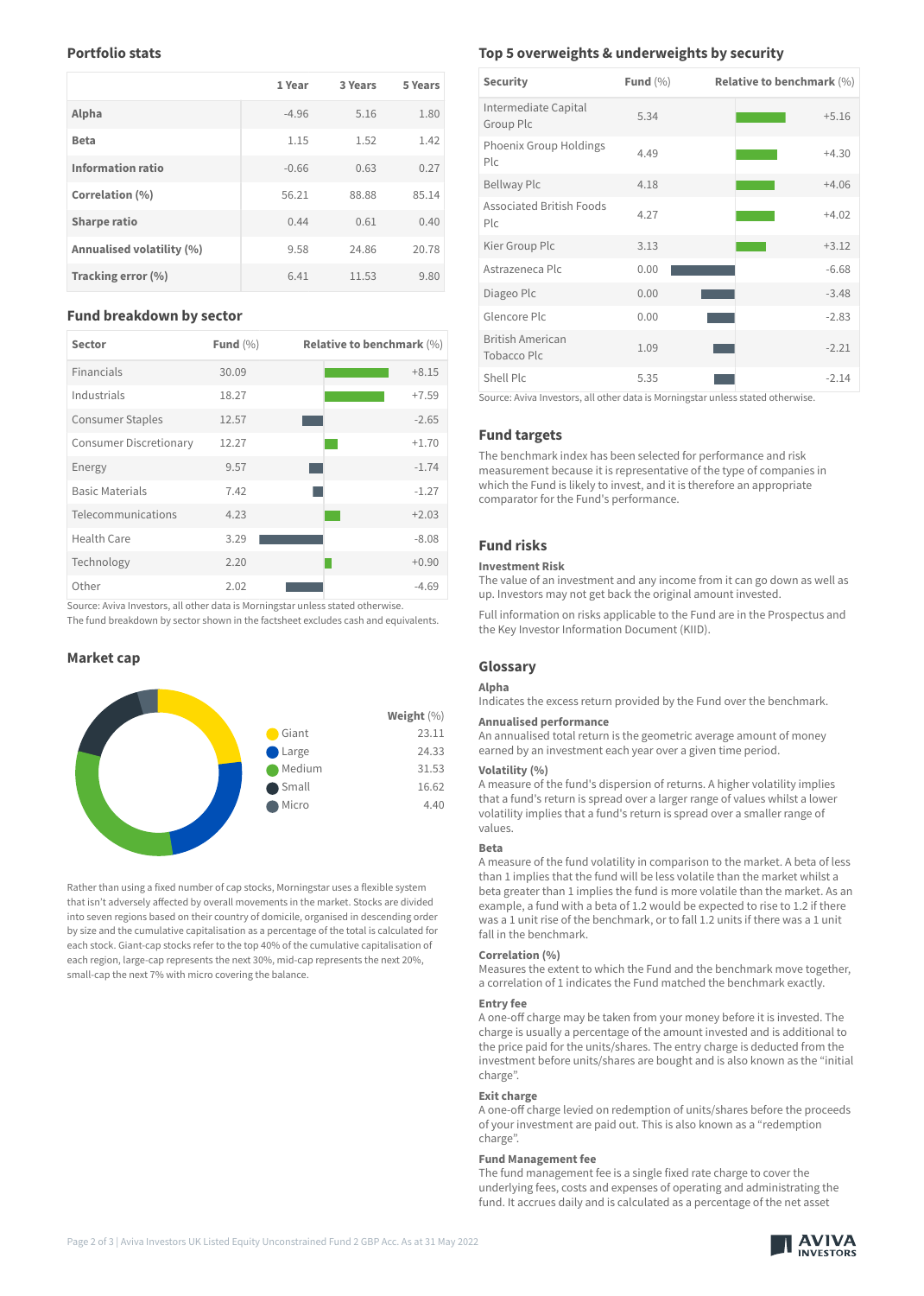## **Portfolio stats**

|                           | 1 Year  | 3 Years | 5 Years |
|---------------------------|---------|---------|---------|
| Alpha                     | $-4.96$ | 5.16    | 1.80    |
| <b>Beta</b>               | 1.15    | 1.52    | 1.42    |
| <b>Information ratio</b>  | $-0.66$ | 0.63    | 0.27    |
| Correlation (%)           | 56.21   | 88.88   | 85.14   |
| <b>Sharpe ratio</b>       | 0.44    | 0.61    | 0.40    |
| Annualised volatility (%) | 9.58    | 24.86   | 20.78   |
| Tracking error (%)        | 6.41    | 11.53   | 9.80    |

## **Fund breakdown by sector**

| <b>Sector</b>                 | Fund $(\% )$ | <b>Relative to benchmark (%)</b> |
|-------------------------------|--------------|----------------------------------|
| <b>Financials</b>             | 30.09        | $+8.15$                          |
| Industrials                   | 18.27        | $+7.59$                          |
| <b>Consumer Staples</b>       | 12.57        | $-2.65$                          |
| <b>Consumer Discretionary</b> | 12.27        | $+1.70$                          |
| Energy                        | 9.57         | $-1.74$                          |
| <b>Basic Materials</b>        | 7.42         | $-1.27$                          |
| Telecommunications            | 4.23         | $+2.03$                          |
| Health Care                   | 3.29         | $-8.08$                          |
| Technology                    | 2.20         | $+0.90$                          |
| Other                         | 2.02         | $-4.69$                          |

Source: Aviva Investors, all other data is Morningstar unless stated otherwise.

The fund breakdown by sector shown in the factsheet excludes cash and equivalents.

## **Market cap**



Rather than using a fixed number of cap stocks, Morningstar uses a flexible system that isn't adversely affected by overall movements in the market. Stocks are divided into seven regions based on their country of domicile, organised in descending order by size and the cumulative capitalisation as a percentage of the total is calculated for each stock. Giant-cap stocks refer to the top 40% of the cumulative capitalisation of each region, large-cap represents the next 30%, mid-cap represents the next 20%, small-cap the next 7% with micro covering the balance.

## **Top 5 overweights & underweights by security**

| <b>Security</b>                                   | Fund $(\% )$ | <b>Relative to benchmark (%)</b> |
|---------------------------------------------------|--------------|----------------------------------|
| Intermediate Capital<br>Group Plc                 | 5.34         | $+5.16$                          |
| Phoenix Group Holdings<br>P C                     | 4.49         | $+4.30$                          |
| <b>Bellway Plc</b>                                | 4.18         | $+4.06$                          |
| <b>Associated British Foods</b><br>P <sub>c</sub> | 4.27         | $+4.02$                          |
| Kier Group Plc                                    | 3.13         | $+3.12$                          |
| Astrazeneca Plc                                   | 0.00         | $-6.68$                          |
| Diageo Plc                                        | 0.00         | $-3.48$                          |
| Glencore Plc                                      | 0.00         | $-2.83$                          |
| <b>British American</b><br>Tobacco Plc            | 1.09         | $-2.21$                          |
| Shell Plc                                         | 5.35         | $-2.14$                          |

Source: Aviva Investors, all other data is Morningstar unless stated otherwise.

## **Fund targets**

The benchmark index has been selected for performance and risk measurement because it is representative of the type of companies in which the Fund is likely to invest, and it is therefore an appropriate comparator for the Fund's performance.

# **Fund risks**

#### **Investment Risk**

The value of an investment and any income from it can go down as well as up. Investors may not get back the original amount invested.

Full information on risks applicable to the Fund are in the Prospectus and the Key Investor Information Document (KIID).

#### **Glossary**

#### **Alpha**

Indicates the excess return provided by the Fund over the benchmark.

### **Annualised performance**

An annualised total return is the geometric average amount of money earned by an investment each year over a given time period.

#### **Volatility (%)**

A measure of the fund's dispersion of returns. A higher volatility implies that a fund's return is spread over a larger range of values whilst a lower volatility implies that a fund's return is spread over a smaller range of values.

#### **Beta**

A measure of the fund volatility in comparison to the market. A beta of less than 1 implies that the fund will be less volatile than the market whilst a beta greater than 1 implies the fund is more volatile than the market. As an example, a fund with a beta of 1.2 would be expected to rise to 1.2 if there was a 1 unit rise of the benchmark, or to fall 1.2 units if there was a 1 unit fall in the benchmark.

#### **Correlation (%)**

Measures the extent to which the Fund and the benchmark move together, a correlation of 1 indicates the Fund matched the benchmark exactly.

#### **Entry fee**

A one-off charge may be taken from your money before it is invested. The charge is usually a percentage of the amount invested and is additional to the price paid for the units/shares. The entry charge is deducted from the investment before units/shares are bought and is also known as the "initial charge".

#### **Exit charge**

A one-off charge levied on redemption of units/shares before the proceeds of your investment are paid out. This is also known as a "redemption charge".

## **Fund Management fee**

The fund management fee is a single fixed rate charge to cover the underlying fees, costs and expenses of operating and administrating the fund. It accrues daily and is calculated as a percentage of the net asset